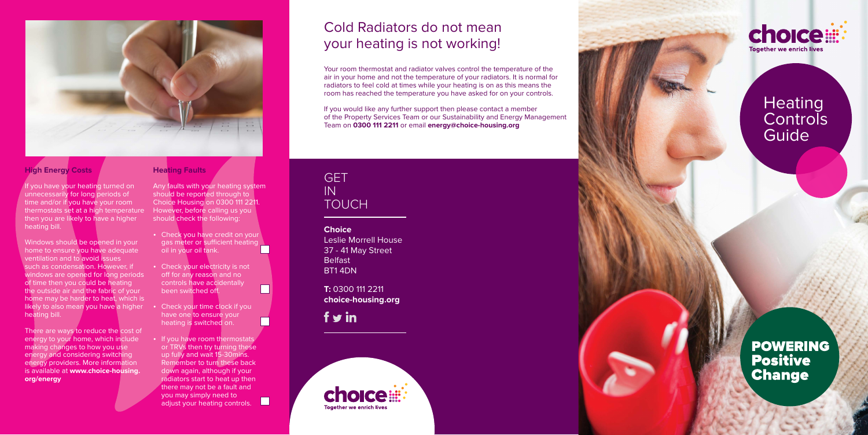### **GFT** IN TOUCH

**Choice** Leslie Morrell House 37 - 41 May Street Belfast BT1 4DN

**T:** 0300 111 2211 **choice-housing.org**

 $f$  y in







## Cold Radiators do not mean your heating is not working!

Your room thermostat and radiator valves control the temperature of the air in your home and not the temperature of your radiators. It is normal for radiators to feel cold at times while your heating is on as this means the room has reached the temperature you have asked for on your controls.

# **Heating Controls** Guide

**POWERING Positive Change** 

If you would like any further support then please contact a member of the Property Services Team or our Sustainability and Energy Management Team on **0300 111 2211** or email **energy@choice-housing.org**



### **High Energy Costs**

There are ways to reduce the cost of energy to your home, which include making changes to how you use energy and considering switching energy providers. More information is available at **www.choice-housing. org/energy** 

If you have your heating turned on unnecessarily for long periods of time and/or if you have your room thermostats set at a high temperature then you are likely to have a higher heating bill.

- Check you have credit on your gas meter or sufficient heating oil in your oil tank.
- Check your electricity is not off for any reason and no controls have accidentally been switched off.

- Check your time clock if you have one to ensure your heating is switched on.
- If you have room thermostats or TRVs then try turning these up fully and wait 15-30mins. Remember to turn these back down again, although if your radiators start to heat up then there may not be a fault and you may simply need to adjust your heating controls.

 $\Box$ 

Windows should be opened in your home to ensure you have adequate ventilation and to avoid issues such as condensation. However, if windows are opened for long periods of time then you could be heating the outside air and the fabric of your home may be harder to heat, which is likely to also mean you have a higher heating bill.

#### **Heating Faults**

Any faults with your heating system should be reported through to Choice Housing on 0300 111 2211. However, before calling us you should check the following: